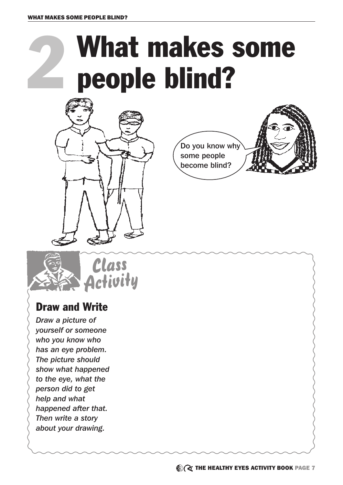## What makes some people blind?







## Draw and Write

*Draw a picture of yourself or someone who you know who has an eye problem. The picture should show what happened to the eye, what the person did to get help and what happened after that. Then write a story about your drawing.*